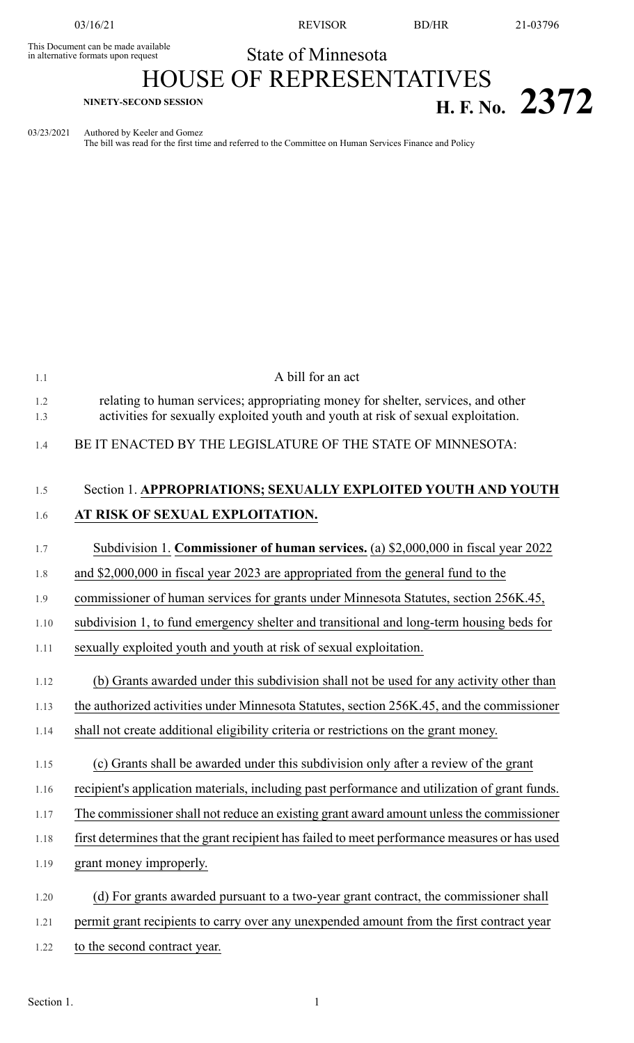This Document can be made available<br>in alternative formats upon request

03/16/21 REVISOR BD/HR 21-03796

## State of Minnesota

## HOUSE OF REPRESENTATIVES **H. F. NO. 2372 H. F. No. 2372**

03/23/2021 Authored by Keeler and Gomez

The bill was read for the first time and referred to the Committee on Human Services Finance and Policy

| 1.1        | A bill for an act                                                                                                                                                     |
|------------|-----------------------------------------------------------------------------------------------------------------------------------------------------------------------|
| 1.2<br>1.3 | relating to human services; appropriating money for shelter, services, and other<br>activities for sexually exploited youth and youth at risk of sexual exploitation. |
| 1.4        | BE IT ENACTED BY THE LEGISLATURE OF THE STATE OF MINNESOTA:                                                                                                           |
| 1.5        | Section 1. APPROPRIATIONS; SEXUALLY EXPLOITED YOUTH AND YOUTH                                                                                                         |
| 1.6        | AT RISK OF SEXUAL EXPLOITATION.                                                                                                                                       |
| 1.7        | Subdivision 1. Commissioner of human services. (a) \$2,000,000 in fiscal year 2022                                                                                    |
| 1.8        | and \$2,000,000 in fiscal year 2023 are appropriated from the general fund to the                                                                                     |
| 1.9        | commissioner of human services for grants under Minnesota Statutes, section 256K.45,                                                                                  |
| 1.10       | subdivision 1, to fund emergency shelter and transitional and long-term housing beds for                                                                              |
| 1.11       | sexually exploited youth and youth at risk of sexual exploitation.                                                                                                    |
| 1.12       | (b) Grants awarded under this subdivision shall not be used for any activity other than                                                                               |
| 1.13       | the authorized activities under Minnesota Statutes, section 256K.45, and the commissioner                                                                             |
| 1.14       | shall not create additional eligibility criteria or restrictions on the grant money.                                                                                  |
| 1.15       | (c) Grants shall be awarded under this subdivision only after a review of the grant                                                                                   |
| 1.16       | recipient's application materials, including past performance and utilization of grant funds.                                                                         |
| 1.17       | The commissioner shall not reduce an existing grant award amount unless the commissioner                                                                              |
| 1.18       | first determines that the grant recipient has failed to meet performance measures or has used                                                                         |
| 1.19       | grant money improperly.                                                                                                                                               |
| 1.20       | (d) For grants awarded pursuant to a two-year grant contract, the commissioner shall                                                                                  |
| 1.21       | permit grant recipients to carry over any unexpended amount from the first contract year                                                                              |
| 1.22       | to the second contract year.                                                                                                                                          |